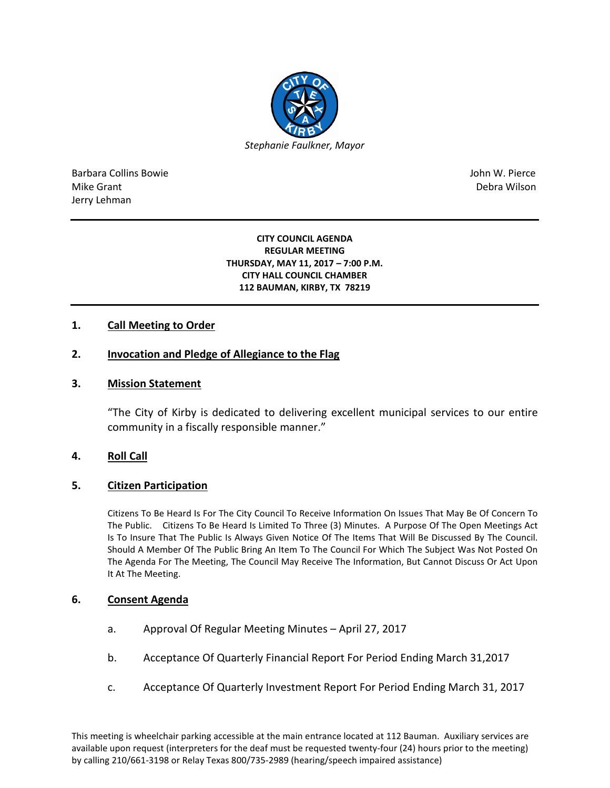

Barbara Collins Bowie John W. Pierce Mike Grant **Debra Wilson** Jerry Lehman

#### **CITY COUNCIL AGENDA REGULAR MEETING THURSDAY, MAY 11, 2017 – 7:00 P.M. CITY HALL COUNCIL CHAMBER 112 BAUMAN, KIRBY, TX 78219**

# **1. Call Meeting to Order**

# **2. Invocation and Pledge of Allegiance to the Flag**

### **3. Mission Statement**

"The City of Kirby is dedicated to delivering excellent municipal services to our entire community in a fiscally responsible manner."

### **4. Roll Call**

### **5. Citizen Participation**

Citizens To Be Heard Is For The City Council To Receive Information On Issues That May Be Of Concern To The Public. Citizens To Be Heard Is Limited To Three (3) Minutes. A Purpose Of The Open Meetings Act Is To Insure That The Public Is Always Given Notice Of The Items That Will Be Discussed By The Council. Should A Member Of The Public Bring An Item To The Council For Which The Subject Was Not Posted On The Agenda For The Meeting, The Council May Receive The Information, But Cannot Discuss Or Act Upon It At The Meeting.

### **6. Consent Agenda**

- a. Approval Of Regular Meeting Minutes April 27, 2017
- b. Acceptance Of Quarterly Financial Report For Period Ending March 31,2017
- c. Acceptance Of Quarterly Investment Report For Period Ending March 31, 2017

This meeting is wheelchair parking accessible at the main entrance located at 112 Bauman. Auxiliary services are available upon request (interpreters for the deaf must be requested twenty-four (24) hours prior to the meeting) by calling 210/661-3198 or Relay Texas 800/735-2989 (hearing/speech impaired assistance)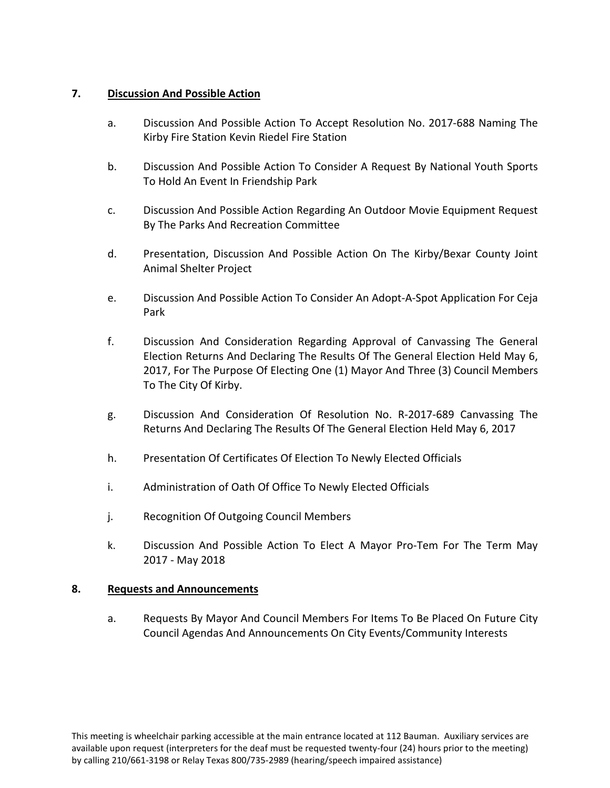# **7. Discussion And Possible Action**

- a. Discussion And Possible Action To Accept Resolution No. 2017-688 Naming The Kirby Fire Station Kevin Riedel Fire Station
- b. Discussion And Possible Action To Consider A Request By National Youth Sports To Hold An Event In Friendship Park
- c. Discussion And Possible Action Regarding An Outdoor Movie Equipment Request By The Parks And Recreation Committee
- d. Presentation, Discussion And Possible Action On The Kirby/Bexar County Joint Animal Shelter Project
- e. Discussion And Possible Action To Consider An Adopt-A-Spot Application For Ceja Park
- f. Discussion And Consideration Regarding Approval of Canvassing The General Election Returns And Declaring The Results Of The General Election Held May 6, 2017, For The Purpose Of Electing One (1) Mayor And Three (3) Council Members To The City Of Kirby.
- g. Discussion And Consideration Of Resolution No. R-2017-689 Canvassing The Returns And Declaring The Results Of The General Election Held May 6, 2017
- h. Presentation Of Certificates Of Election To Newly Elected Officials
- i. Administration of Oath Of Office To Newly Elected Officials
- j. Recognition Of Outgoing Council Members
- k. Discussion And Possible Action To Elect A Mayor Pro-Tem For The Term May 2017 - May 2018

# **8. Requests and Announcements**

a. Requests By Mayor And Council Members For Items To Be Placed On Future City Council Agendas And Announcements On City Events/Community Interests